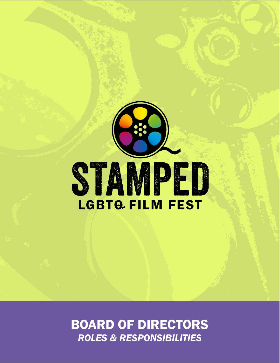

**BOARD OF DIRECTORS ROLES & RESPONSIBILITIES**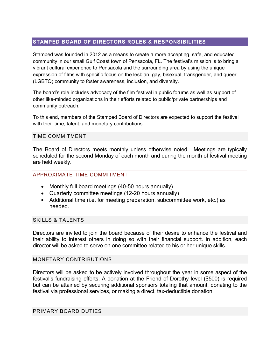## **STAMPED BOARD OF DIRECTORS ROLES & RESPONSIBILITIES**

Stamped was founded in 2012 as a means to create a more accepting, safe, and educated community in our small Gulf Coast town of Pensacola, FL. The festival's mission is to bring a vibrant cultural experience to Pensacola and the surrounding area by using the unique expression of films with specific focus on the lesbian, gay, bisexual, transgender, and queer (LGBTQ) community to foster awareness, inclusion, and diversity.

The board's role includes advocacy of the film festival in public forums as well as support of other like-minded organizations in their efforts related to public/private partnerships and community outreach.

To this end, members of the Stamped Board of Directors are expected to support the festival with their time, talent, and monetary contributions.

## TIME COMMITMENT

The Board of Directors meets monthly unless otherwise noted. Meetings are typically scheduled for the second Monday of each month and during the month of festival meeting are held weekly.

## APPROXIMATE TIME COMMITMENT

- Monthly full board meetings (40-50 hours annually)
- Quarterly committee meetings (12-20 hours annually)
- Additional time (i.e. for meeting preparation, subcommittee work, etc.) as needed.

## SKILLS & TALENTS

Directors are invited to join the board because of their desire to enhance the festival and their ability to interest others in doing so with their financial support. In addition, each director will be asked to serve on one committee related to his or her unique skills.

## MONETARY CONTRIBUTIONS

Directors will be asked to be actively involved throughout the year in some aspect of the festival's fundraising efforts. A donation at the Friend of Dorothy level (\$500) is required but can be attained by securing additional sponsors totaling that amount, donating to the festival via professional services, or making a direct, tax-deductible donation.

## PRIMARY BOARD DUTIES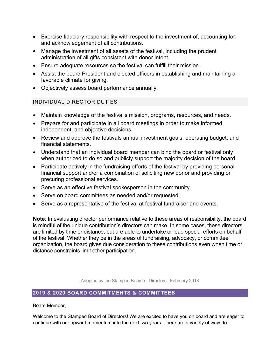- Exercise fiduciary responsibility with respect to the investment of, accounting for, and acknowledgement of all contributions.
- Manage the investment of all assets of the festival, including the prudent administration of all gifts consistent with donor intent.
- Ensure adequate resources so the festival can fulfill their mission.
- Assist the board President and elected officers in establishing and maintaining a favorable climate for giving.
- Objectively assess board performance annually.

# INDIVIDUAL DIRECTOR DUTIES

- Maintain knowledge of the festival's mission, programs, resources, and needs.
- Prepare for and participate in all board meetings in order to make informed, independent, and objective decisions.
- Review and approve the festivals annual investment goals, operating budget, and financial statements.
- Understand that an individual board member can bind the board or festival only when authorized to do so and publicly support the majority decision of the board.
- Participate actively in the fundraising efforts of the festival by providing personal financial support and/or a combination of soliciting new donor and providing or precuring professional services.
- Serve as an effective festival spokesperson in the community.
- Serve on board committees as needed and/or requested.
- Serve as a representative of the festival at festival fundraiser and events.

**Note**: In evaluating director performance relative to these areas of responsibility, the board is mindful of the unique contribution's directors can make. In some cases, these directors are limited by time or distance, but are able to undertake or lead special efforts on behalf of the festival. Whether they be in the areas of fundraising, advocacy, or committee organization, the board gives due consideration to these contributions even when time or distance constraints limit other participation.

Adopted by the Stamped Board of Directors: February 2018

# **2019 & 2020 BOARD COMMITMENTS & COMMITTEES**

Board Member,

Welcome to the Stamped Board of Directors! We are excited to have you on board and are eager to continue with our upward momentum into the next two years. There are a variety of ways to